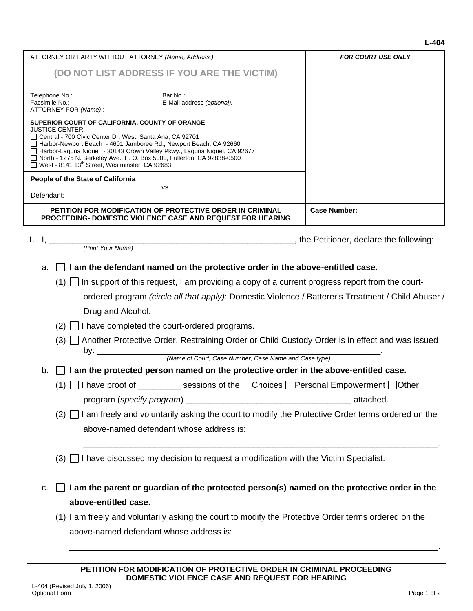|            | Telephone No.:<br>Bar No.:<br>Facsimile No.:<br>E-Mail address (optional):<br>ATTORNEY FOR (Name):                                                                                                                                                                                                                                                                                                                                   |                     |  |
|------------|--------------------------------------------------------------------------------------------------------------------------------------------------------------------------------------------------------------------------------------------------------------------------------------------------------------------------------------------------------------------------------------------------------------------------------------|---------------------|--|
|            | SUPERIOR COURT OF CALIFORNIA, COUNTY OF ORANGE<br><b>JUSTICE CENTER:</b><br>□ Central - 700 Civic Center Dr. West, Santa Ana, CA 92701<br>Harbor-Newport Beach - 4601 Jamboree Rd., Newport Beach, CA 92660<br>□ Harbor-Laguna Niguel - 30143 Crown Valley Pkwy., Laguna Niguel, CA 92677<br>□ North - 1275 N. Berkeley Ave., P. O. Box 5000, Fullerton, CA 92838-0500<br>West - 8141 13 <sup>th</sup> Street, Westminster, CA 92683 |                     |  |
|            | People of the State of California<br>VS.                                                                                                                                                                                                                                                                                                                                                                                             |                     |  |
| Defendant: |                                                                                                                                                                                                                                                                                                                                                                                                                                      |                     |  |
|            | PETITION FOR MODIFICATION OF PROTECTIVE ORDER IN CRIMINAL<br><b>PROCEEDING- DOMESTIC VIOLENCE CASE AND REQUEST FOR HEARING</b>                                                                                                                                                                                                                                                                                                       | <b>Case Number:</b> |  |
|            | 1. I, $\frac{1}{(Print Your Name)}$                                                                                                                                                                                                                                                                                                                                                                                                  |                     |  |
|            | $\Box$ I am the defendant named on the protective order in the above-entitled case.                                                                                                                                                                                                                                                                                                                                                  |                     |  |
|            | a.<br>$(1)$ In support of this request, I am providing a copy of a current progress report from the court-                                                                                                                                                                                                                                                                                                                           |                     |  |
|            | ordered program (circle all that apply): Domestic Violence / Batterer's Treatment / Child Abuser /                                                                                                                                                                                                                                                                                                                                   |                     |  |
|            | Drug and Alcohol.                                                                                                                                                                                                                                                                                                                                                                                                                    |                     |  |
|            | $(2)$   I have completed the court-ordered programs.                                                                                                                                                                                                                                                                                                                                                                                 |                     |  |
|            | (3) □ Another Protective Order, Restraining Order or Child Custody Order is in effect and was issued                                                                                                                                                                                                                                                                                                                                 |                     |  |
|            | (Name of Court, Case Number, Case Name and Case type)                                                                                                                                                                                                                                                                                                                                                                                |                     |  |
| b.         | $\Box$ I am the protected person named on the protective order in the above-entitled case.                                                                                                                                                                                                                                                                                                                                           |                     |  |
|            | (1) □ I have proof of __________ sessions of the □ Choices □ Personal Empowerment □ Other                                                                                                                                                                                                                                                                                                                                            |                     |  |
|            |                                                                                                                                                                                                                                                                                                                                                                                                                                      |                     |  |
|            | $(2)$ $\Box$ I am freely and voluntarily asking the court to modify the Protective Order terms ordered on the                                                                                                                                                                                                                                                                                                                        |                     |  |
|            | above-named defendant whose address is:                                                                                                                                                                                                                                                                                                                                                                                              |                     |  |
|            | $(3)$ I have discussed my decision to request a modification with the Victim Specialist.                                                                                                                                                                                                                                                                                                                                             |                     |  |
| c.         | I am the parent or guardian of the protected person(s) named on the protective order in the<br>above-entitled case.                                                                                                                                                                                                                                                                                                                  |                     |  |
|            | (1) I am freely and voluntarily asking the court to modify the Protective Order terms ordered on the                                                                                                                                                                                                                                                                                                                                 |                     |  |

ATTORNEY OR PARTY WITHOUT ATTORNEY *(Name, Address.)*:

**(DO NOT LIST ADDRESS IF YOU ARE THE VICTIM)**

\_\_\_\_\_\_\_\_\_\_\_\_\_\_\_\_\_\_\_\_\_\_\_\_\_\_\_\_\_\_\_\_\_\_\_\_\_\_\_\_\_\_\_\_\_\_\_\_\_\_\_\_\_\_\_\_\_\_\_\_\_\_\_\_\_\_\_\_\_\_\_\_\_\_\_\_\_\_.

*FOR COURT USE ONLY*